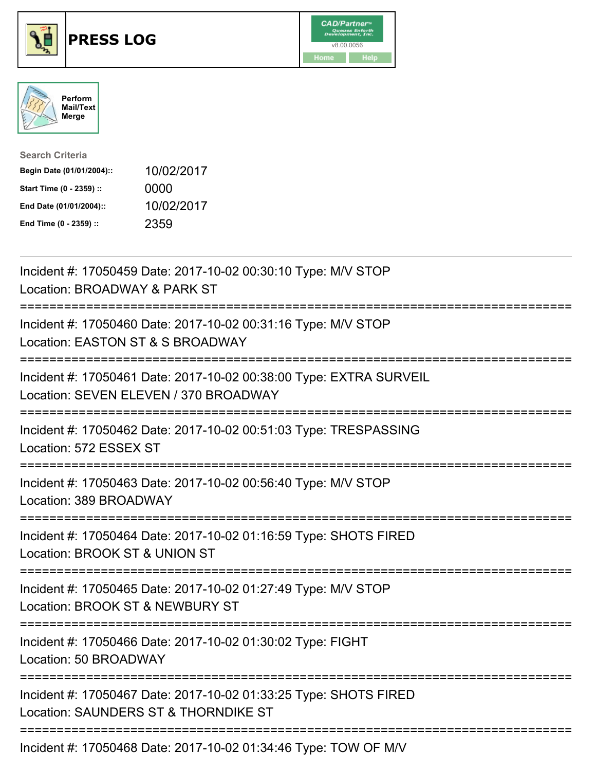

## **PRESS LOG** v8.00.0056





| <b>Search Criteria</b>    |            |
|---------------------------|------------|
| Begin Date (01/01/2004):: | 10/02/2017 |
| Start Time (0 - 2359) ::  | 0000       |
| End Date (01/01/2004)::   | 10/02/2017 |
| End Time (0 - 2359) ::    | 2359       |

Incident #: 17050459 Date: 2017-10-02 00:30:10 Type: M/V STOP Location: BROADWAY & PARK ST =========================================================================== Incident #: 17050460 Date: 2017-10-02 00:31:16 Type: M/V STOP Location: EASTON ST & S BROADWAY =========================================================================== Incident #: 17050461 Date: 2017-10-02 00:38:00 Type: EXTRA SURVEIL Location: SEVEN ELEVEN / 370 BROADWAY =========================================================================== Incident #: 17050462 Date: 2017-10-02 00:51:03 Type: TRESPASSING Location: 572 ESSEX ST =========================================================================== Incident #: 17050463 Date: 2017-10-02 00:56:40 Type: M/V STOP Location: 389 BROADWAY =========================================================================== Incident #: 17050464 Date: 2017-10-02 01:16:59 Type: SHOTS FIRED Location: BROOK ST & UNION ST =========================================================================== Incident #: 17050465 Date: 2017-10-02 01:27:49 Type: M/V STOP Location: BROOK ST & NEWBURY ST =========================================================================== Incident #: 17050466 Date: 2017-10-02 01:30:02 Type: FIGHT Location: 50 BROADWAY =========================================================================== Incident #: 17050467 Date: 2017-10-02 01:33:25 Type: SHOTS FIRED Location: SAUNDERS ST & THORNDIKE ST =========================================================================== Incident #: 17050468 Date: 2017-10-02 01:34:46 Type: TOW OF M/V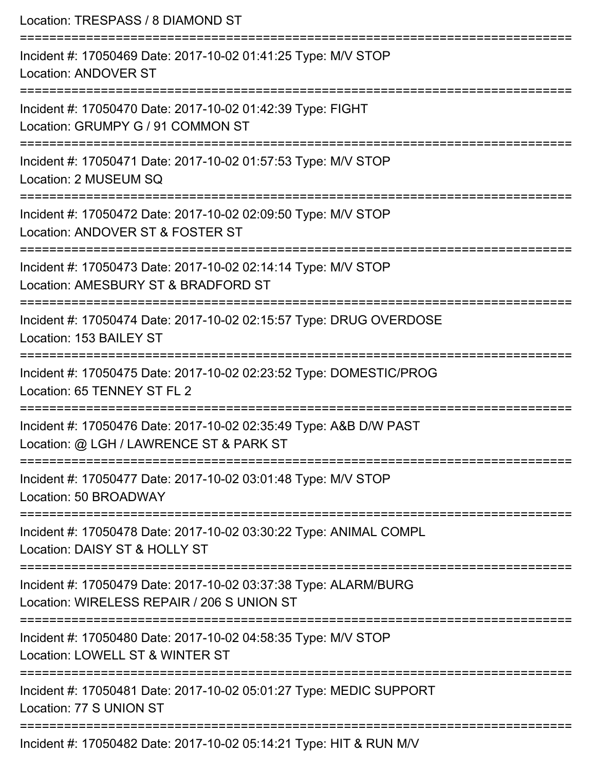| Location: TRESPASS / 8 DIAMOND ST                                                                                                  |
|------------------------------------------------------------------------------------------------------------------------------------|
| Incident #: 17050469 Date: 2017-10-02 01:41:25 Type: M/V STOP<br><b>Location: ANDOVER ST</b>                                       |
| Incident #: 17050470 Date: 2017-10-02 01:42:39 Type: FIGHT<br>Location: GRUMPY G / 91 COMMON ST<br>========================        |
| Incident #: 17050471 Date: 2017-10-02 01:57:53 Type: M/V STOP<br>Location: 2 MUSEUM SQ                                             |
| Incident #: 17050472 Date: 2017-10-02 02:09:50 Type: M/V STOP<br>Location: ANDOVER ST & FOSTER ST                                  |
| ====================<br>Incident #: 17050473 Date: 2017-10-02 02:14:14 Type: M/V STOP<br>Location: AMESBURY ST & BRADFORD ST       |
| Incident #: 17050474 Date: 2017-10-02 02:15:57 Type: DRUG OVERDOSE<br>Location: 153 BAILEY ST                                      |
| -----------------------------<br>Incident #: 17050475 Date: 2017-10-02 02:23:52 Type: DOMESTIC/PROG<br>Location: 65 TENNEY ST FL 2 |
| Incident #: 17050476 Date: 2017-10-02 02:35:49 Type: A&B D/W PAST<br>Location: @ LGH / LAWRENCE ST & PARK ST                       |
| Incident #: 17050477 Date: 2017-10-02 03:01:48 Type: M/V STOP<br>Location: 50 BROADWAY                                             |
| Incident #: 17050478 Date: 2017-10-02 03:30:22 Type: ANIMAL COMPL<br>Location: DAISY ST & HOLLY ST                                 |
| Incident #: 17050479 Date: 2017-10-02 03:37:38 Type: ALARM/BURG<br>Location: WIRELESS REPAIR / 206 S UNION ST                      |
| Incident #: 17050480 Date: 2017-10-02 04:58:35 Type: M/V STOP<br>Location: LOWELL ST & WINTER ST                                   |
| Incident #: 17050481 Date: 2017-10-02 05:01:27 Type: MEDIC SUPPORT<br>Location: 77 S UNION ST                                      |
| Incident #: 17050482 Date: 2017-10-02 05:14:21 Type: HIT & RUN M/V                                                                 |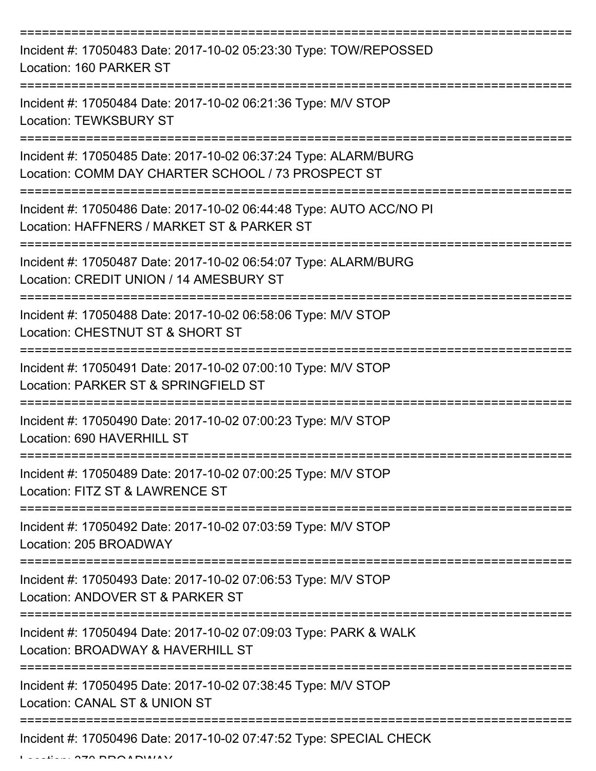| Incident #: 17050483 Date: 2017-10-02 05:23:30 Type: TOW/REPOSSED<br>Location: 160 PARKER ST                          |
|-----------------------------------------------------------------------------------------------------------------------|
| Incident #: 17050484 Date: 2017-10-02 06:21:36 Type: M/V STOP<br><b>Location: TEWKSBURY ST</b>                        |
| Incident #: 17050485 Date: 2017-10-02 06:37:24 Type: ALARM/BURG<br>Location: COMM DAY CHARTER SCHOOL / 73 PROSPECT ST |
| Incident #: 17050486 Date: 2017-10-02 06:44:48 Type: AUTO ACC/NO PI<br>Location: HAFFNERS / MARKET ST & PARKER ST     |
| Incident #: 17050487 Date: 2017-10-02 06:54:07 Type: ALARM/BURG<br>Location: CREDIT UNION / 14 AMESBURY ST            |
| Incident #: 17050488 Date: 2017-10-02 06:58:06 Type: M/V STOP<br>Location: CHESTNUT ST & SHORT ST                     |
| Incident #: 17050491 Date: 2017-10-02 07:00:10 Type: M/V STOP<br>Location: PARKER ST & SPRINGFIELD ST                 |
| Incident #: 17050490 Date: 2017-10-02 07:00:23 Type: M/V STOP<br>Location: 690 HAVERHILL ST                           |
| Incident #: 17050489 Date: 2017-10-02 07:00:25 Type: M/V STOP<br>Location: FITZ ST & LAWRENCE ST                      |
| Incident #: 17050492 Date: 2017-10-02 07:03:59 Type: M/V STOP<br>Location: 205 BROADWAY                               |
| Incident #: 17050493 Date: 2017-10-02 07:06:53 Type: M/V STOP<br>Location: ANDOVER ST & PARKER ST                     |
| Incident #: 17050494 Date: 2017-10-02 07:09:03 Type: PARK & WALK<br>Location: BROADWAY & HAVERHILL ST                 |
| Incident #: 17050495 Date: 2017-10-02 07:38:45 Type: M/V STOP<br>Location: CANAL ST & UNION ST                        |
| Incident #: 17050496 Date: 2017-10-02 07:47:52 Type: SPECIAL CHECK                                                    |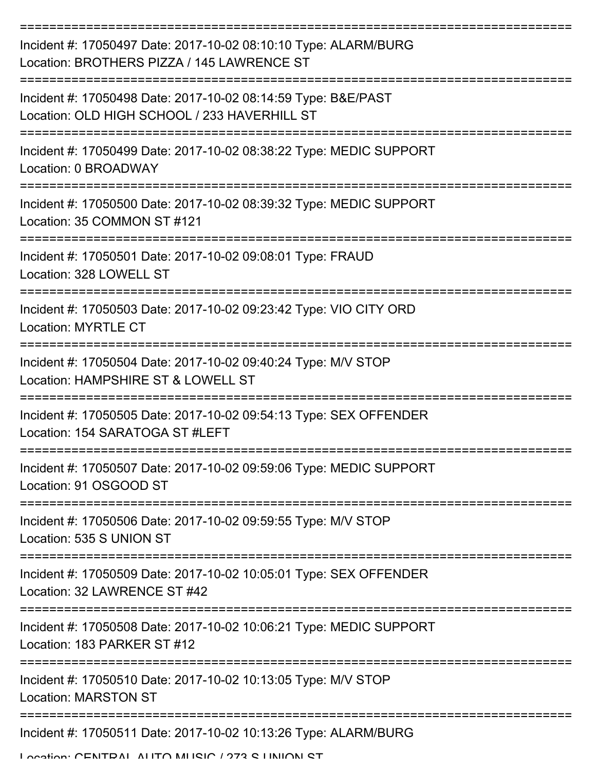| Incident #: 17050497 Date: 2017-10-02 08:10:10 Type: ALARM/BURG<br>Location: BROTHERS PIZZA / 145 LAWRENCE ST |
|---------------------------------------------------------------------------------------------------------------|
| Incident #: 17050498 Date: 2017-10-02 08:14:59 Type: B&E/PAST<br>Location: OLD HIGH SCHOOL / 233 HAVERHILL ST |
| Incident #: 17050499 Date: 2017-10-02 08:38:22 Type: MEDIC SUPPORT<br>Location: 0 BROADWAY                    |
| Incident #: 17050500 Date: 2017-10-02 08:39:32 Type: MEDIC SUPPORT<br>Location: 35 COMMON ST #121             |
| Incident #: 17050501 Date: 2017-10-02 09:08:01 Type: FRAUD<br>Location: 328 LOWELL ST                         |
| Incident #: 17050503 Date: 2017-10-02 09:23:42 Type: VIO CITY ORD<br><b>Location: MYRTLE CT</b>               |
| Incident #: 17050504 Date: 2017-10-02 09:40:24 Type: M/V STOP<br>Location: HAMPSHIRE ST & LOWELL ST           |
| Incident #: 17050505 Date: 2017-10-02 09:54:13 Type: SEX OFFENDER<br>Location: 154 SARATOGA ST #LEFT          |
| Incident #: 17050507 Date: 2017-10-02 09:59:06 Type: MEDIC SUPPORT<br>Location: 91 OSGOOD ST                  |
| Incident #: 17050506 Date: 2017-10-02 09:59:55 Type: M/V STOP<br>Location: 535 S UNION ST                     |
| Incident #: 17050509 Date: 2017-10-02 10:05:01 Type: SEX OFFENDER<br>Location: 32 LAWRENCE ST #42             |
| Incident #: 17050508 Date: 2017-10-02 10:06:21 Type: MEDIC SUPPORT<br>Location: 183 PARKER ST #12             |
| Incident #: 17050510 Date: 2017-10-02 10:13:05 Type: M/V STOP<br><b>Location: MARSTON ST</b>                  |
| Incident #: 17050511 Date: 2017-10-02 10:13:26 Type: ALARM/BURG                                               |
| Location: CENITDAL ALITO MITCIO / 972 C LINIIONI CT                                                           |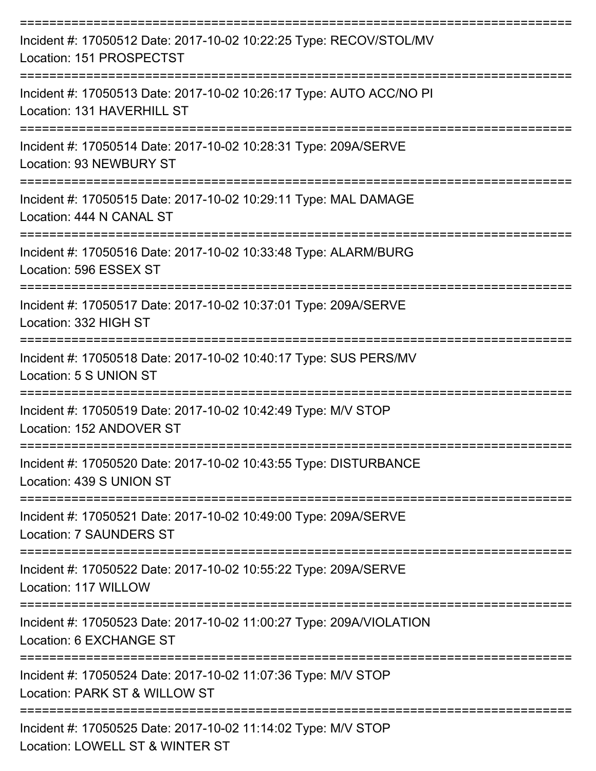| Incident #: 17050512 Date: 2017-10-02 10:22:25 Type: RECOV/STOL/MV<br>Location: 151 PROSPECTST    |
|---------------------------------------------------------------------------------------------------|
| Incident #: 17050513 Date: 2017-10-02 10:26:17 Type: AUTO ACC/NO PI<br>Location: 131 HAVERHILL ST |
| Incident #: 17050514 Date: 2017-10-02 10:28:31 Type: 209A/SERVE<br><b>Location: 93 NEWBURY ST</b> |
| Incident #: 17050515 Date: 2017-10-02 10:29:11 Type: MAL DAMAGE<br>Location: 444 N CANAL ST       |
| Incident #: 17050516 Date: 2017-10-02 10:33:48 Type: ALARM/BURG<br>Location: 596 ESSEX ST         |
| Incident #: 17050517 Date: 2017-10-02 10:37:01 Type: 209A/SERVE<br>Location: 332 HIGH ST          |
| Incident #: 17050518 Date: 2017-10-02 10:40:17 Type: SUS PERS/MV<br>Location: 5 S UNION ST        |
| Incident #: 17050519 Date: 2017-10-02 10:42:49 Type: M/V STOP<br>Location: 152 ANDOVER ST         |
| Incident #: 17050520 Date: 2017-10-02 10:43:55 Type: DISTURBANCE<br>Location: 439 S UNION ST      |
| Incident #: 17050521 Date: 2017-10-02 10:49:00 Type: 209A/SERVE<br><b>Location: 7 SAUNDERS ST</b> |
| Incident #: 17050522 Date: 2017-10-02 10:55:22 Type: 209A/SERVE<br>Location: 117 WILLOW           |
| Incident #: 17050523 Date: 2017-10-02 11:00:27 Type: 209A/VIOLATION<br>Location: 6 EXCHANGE ST    |
| Incident #: 17050524 Date: 2017-10-02 11:07:36 Type: M/V STOP<br>Location: PARK ST & WILLOW ST    |
| Incident #: 17050525 Date: 2017-10-02 11:14:02 Type: M/V STOP<br>Location: LOWELL ST & WINTER ST  |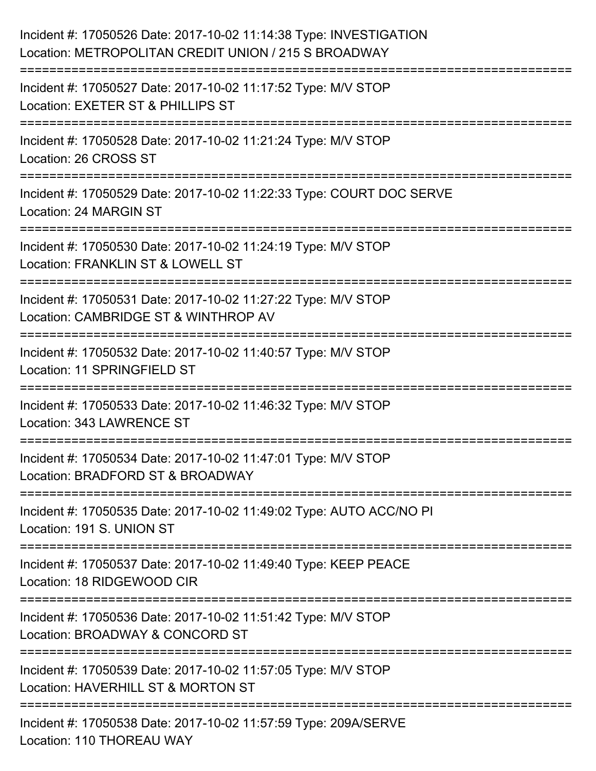| Incident #: 17050526 Date: 2017-10-02 11:14:38 Type: INVESTIGATION<br>Location: METROPOLITAN CREDIT UNION / 215 S BROADWAY                       |
|--------------------------------------------------------------------------------------------------------------------------------------------------|
| Incident #: 17050527 Date: 2017-10-02 11:17:52 Type: M/V STOP<br>Location: EXETER ST & PHILLIPS ST                                               |
| Incident #: 17050528 Date: 2017-10-02 11:21:24 Type: M/V STOP<br>Location: 26 CROSS ST                                                           |
| Incident #: 17050529 Date: 2017-10-02 11:22:33 Type: COURT DOC SERVE<br>Location: 24 MARGIN ST                                                   |
| Incident #: 17050530 Date: 2017-10-02 11:24:19 Type: M/V STOP<br>Location: FRANKLIN ST & LOWELL ST<br>:======================<br>--------------- |
| Incident #: 17050531 Date: 2017-10-02 11:27:22 Type: M/V STOP<br>Location: CAMBRIDGE ST & WINTHROP AV                                            |
| Incident #: 17050532 Date: 2017-10-02 11:40:57 Type: M/V STOP<br>Location: 11 SPRINGFIELD ST<br>=================================                |
| Incident #: 17050533 Date: 2017-10-02 11:46:32 Type: M/V STOP<br>Location: 343 LAWRENCE ST                                                       |
| Incident #: 17050534 Date: 2017-10-02 11:47:01 Type: M/V STOP<br>Location: BRADFORD ST & BROADWAY                                                |
| Incident #: 17050535 Date: 2017-10-02 11:49:02 Type: AUTO ACC/NO PI<br>Location: 191 S. UNION ST                                                 |
| ===============================<br>Incident #: 17050537 Date: 2017-10-02 11:49:40 Type: KEEP PEACE<br>Location: 18 RIDGEWOOD CIR                 |
| Incident #: 17050536 Date: 2017-10-02 11:51:42 Type: M/V STOP<br>Location: BROADWAY & CONCORD ST                                                 |
| Incident #: 17050539 Date: 2017-10-02 11:57:05 Type: M/V STOP<br>Location: HAVERHILL ST & MORTON ST                                              |
| Incident #: 17050538 Date: 2017-10-02 11:57:59 Type: 209A/SERVE<br>Location: 110 THOREAU WAY                                                     |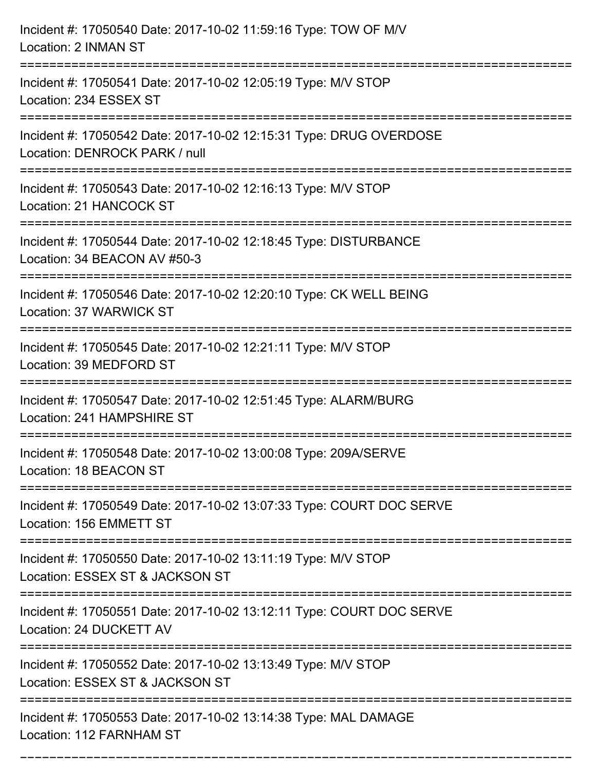| Incident #: 17050540 Date: 2017-10-02 11:59:16 Type: TOW OF M/V<br>Location: 2 INMAN ST                                                  |
|------------------------------------------------------------------------------------------------------------------------------------------|
| Incident #: 17050541 Date: 2017-10-02 12:05:19 Type: M/V STOP<br>Location: 234 ESSEX ST                                                  |
| Incident #: 17050542 Date: 2017-10-02 12:15:31 Type: DRUG OVERDOSE<br>Location: DENROCK PARK / null                                      |
| Incident #: 17050543 Date: 2017-10-02 12:16:13 Type: M/V STOP<br>Location: 21 HANCOCK ST                                                 |
| Incident #: 17050544 Date: 2017-10-02 12:18:45 Type: DISTURBANCE<br>Location: 34 BEACON AV #50-3<br>==================================== |
| Incident #: 17050546 Date: 2017-10-02 12:20:10 Type: CK WELL BEING<br>Location: 37 WARWICK ST                                            |
| Incident #: 17050545 Date: 2017-10-02 12:21:11 Type: M/V STOP<br>Location: 39 MEDFORD ST<br>==========================                   |
| Incident #: 17050547 Date: 2017-10-02 12:51:45 Type: ALARM/BURG<br>Location: 241 HAMPSHIRE ST                                            |
| Incident #: 17050548 Date: 2017-10-02 13:00:08 Type: 209A/SERVE<br>Location: 18 BEACON ST                                                |
| Incident #: 17050549 Date: 2017-10-02 13:07:33 Type: COURT DOC SERVE<br>Location: 156 EMMETT ST                                          |
| Incident #: 17050550 Date: 2017-10-02 13:11:19 Type: M/V STOP<br>Location: ESSEX ST & JACKSON ST                                         |
| Incident #: 17050551 Date: 2017-10-02 13:12:11 Type: COURT DOC SERVE<br>Location: 24 DUCKETT AV                                          |
| Incident #: 17050552 Date: 2017-10-02 13:13:49 Type: M/V STOP<br>Location: ESSEX ST & JACKSON ST                                         |
| Incident #: 17050553 Date: 2017-10-02 13:14:38 Type: MAL DAMAGE<br>Location: 112 FARNHAM ST                                              |

===========================================================================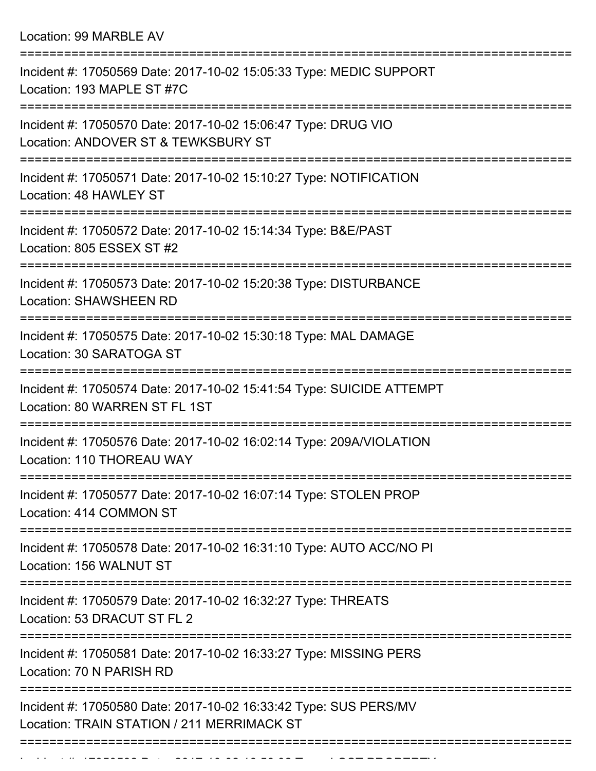Location: 99 MARBLE AV

| Incident #: 17050569 Date: 2017-10-02 15:05:33 Type: MEDIC SUPPORT<br>Location: 193 MAPLE ST #7C                |
|-----------------------------------------------------------------------------------------------------------------|
| Incident #: 17050570 Date: 2017-10-02 15:06:47 Type: DRUG VIO<br>Location: ANDOVER ST & TEWKSBURY ST            |
| Incident #: 17050571 Date: 2017-10-02 15:10:27 Type: NOTIFICATION<br>Location: 48 HAWLEY ST                     |
| Incident #: 17050572 Date: 2017-10-02 15:14:34 Type: B&E/PAST<br>Location: 805 ESSEX ST #2                      |
| Incident #: 17050573 Date: 2017-10-02 15:20:38 Type: DISTURBANCE<br><b>Location: SHAWSHEEN RD</b>               |
| Incident #: 17050575 Date: 2017-10-02 15:30:18 Type: MAL DAMAGE<br>Location: 30 SARATOGA ST                     |
| Incident #: 17050574 Date: 2017-10-02 15:41:54 Type: SUICIDE ATTEMPT<br>Location: 80 WARREN ST FL 1ST           |
| Incident #: 17050576 Date: 2017-10-02 16:02:14 Type: 209A/VIOLATION<br>Location: 110 THOREAU WAY                |
| :===============<br>Incident #: 17050577 Date: 2017-10-02 16:07:14 Type: STOLEN PROP<br>Location: 414 COMMON ST |
| Incident #: 17050578 Date: 2017-10-02 16:31:10 Type: AUTO ACC/NO PI<br>Location: 156 WALNUT ST                  |
| Incident #: 17050579 Date: 2017-10-02 16:32:27 Type: THREATS<br>Location: 53 DRACUT ST FL 2                     |
| Incident #: 17050581 Date: 2017-10-02 16:33:27 Type: MISSING PERS<br>Location: 70 N PARISH RD                   |
| Incident #: 17050580 Date: 2017-10-02 16:33:42 Type: SUS PERS/MV<br>Location: TRAIN STATION / 211 MERRIMACK ST  |
|                                                                                                                 |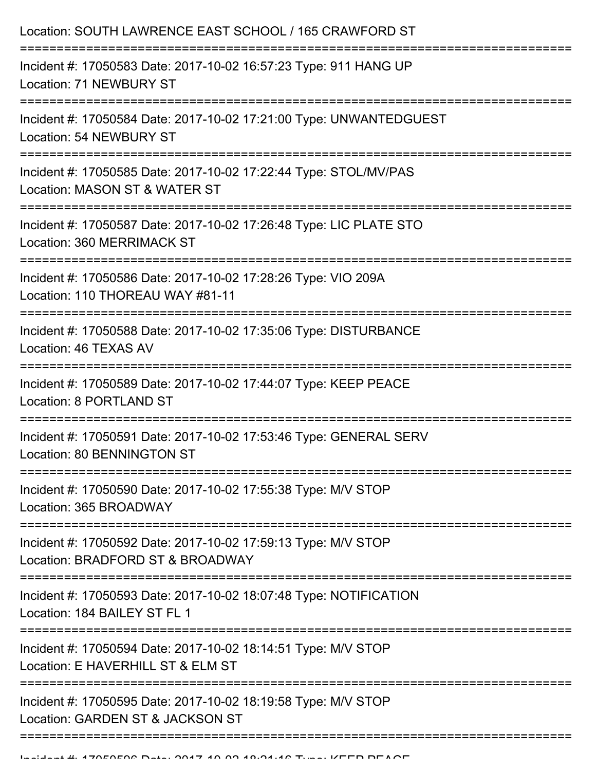| Location: SOUTH LAWRENCE EAST SCHOOL / 165 CRAWFORD ST                                               |
|------------------------------------------------------------------------------------------------------|
| Incident #: 17050583 Date: 2017-10-02 16:57:23 Type: 911 HANG UP<br>Location: 71 NEWBURY ST          |
| Incident #: 17050584 Date: 2017-10-02 17:21:00 Type: UNWANTEDGUEST<br><b>Location: 54 NEWBURY ST</b> |
| Incident #: 17050585 Date: 2017-10-02 17:22:44 Type: STOL/MV/PAS<br>Location: MASON ST & WATER ST    |
| Incident #: 17050587 Date: 2017-10-02 17:26:48 Type: LIC PLATE STO<br>Location: 360 MERRIMACK ST     |
| Incident #: 17050586 Date: 2017-10-02 17:28:26 Type: VIO 209A<br>Location: 110 THOREAU WAY #81-11    |
| Incident #: 17050588 Date: 2017-10-02 17:35:06 Type: DISTURBANCE<br>Location: 46 TEXAS AV            |
| Incident #: 17050589 Date: 2017-10-02 17:44:07 Type: KEEP PEACE<br>Location: 8 PORTLAND ST           |
| Incident #: 17050591 Date: 2017-10-02 17:53:46 Type: GENERAL SERV<br>Location: 80 BENNINGTON ST      |
| Incident #: 17050590 Date: 2017-10-02 17:55:38 Type: M/V STOP<br>Location: 365 BROADWAY              |
| Incident #: 17050592 Date: 2017-10-02 17:59:13 Type: M/V STOP<br>Location: BRADFORD ST & BROADWAY    |
| Incident #: 17050593 Date: 2017-10-02 18:07:48 Type: NOTIFICATION<br>Location: 184 BAILEY ST FL 1    |
| Incident #: 17050594 Date: 2017-10-02 18:14:51 Type: M/V STOP<br>Location: E HAVERHILL ST & ELM ST   |
| Incident #: 17050595 Date: 2017-10-02 18:19:58 Type: M/V STOP<br>Location: GARDEN ST & JACKSON ST    |
|                                                                                                      |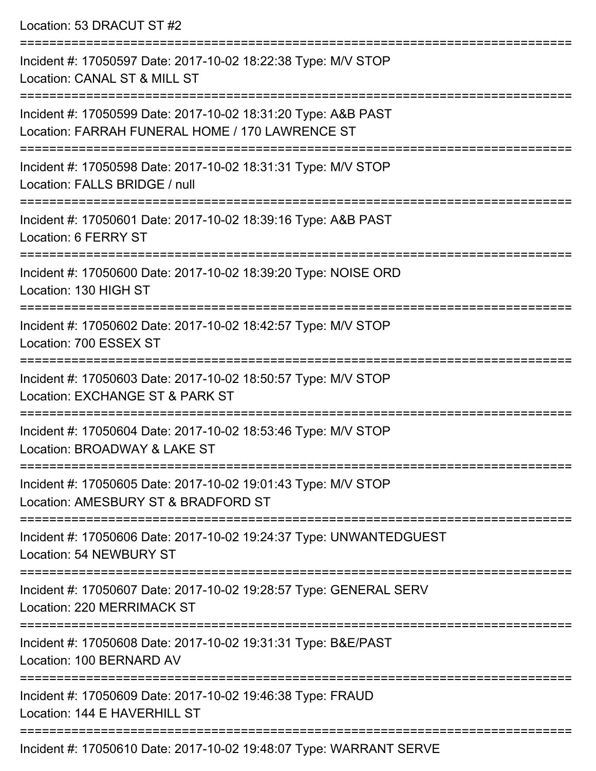Location: 53 DRACUT ST #2 =========================================================================== Incident #: 17050597 Date: 2017-10-02 18:22:38 Type: M/V STOP Location: CANAL ST & MILL ST =========================================================================== Incident #: 17050599 Date: 2017-10-02 18:31:20 Type: A&B PAST Location: FARRAH FUNERAL HOME / 170 LAWRENCE ST =========================================================================== Incident #: 17050598 Date: 2017-10-02 18:31:31 Type: M/V STOP Location: FALLS BRIDGE / null =========================================================================== Incident #: 17050601 Date: 2017-10-02 18:39:16 Type: A&B PAST Location: 6 FERRY ST =========================================================================== Incident #: 17050600 Date: 2017-10-02 18:39:20 Type: NOISE ORD Location: 130 HIGH ST =========================================================================== Incident #: 17050602 Date: 2017-10-02 18:42:57 Type: M/V STOP Location: 700 ESSEX ST =========================================================================== Incident #: 17050603 Date: 2017-10-02 18:50:57 Type: M/V STOP Location: EXCHANGE ST & PARK ST =========================================================================== Incident #: 17050604 Date: 2017-10-02 18:53:46 Type: M/V STOP Location: BROADWAY & LAKE ST =========================================================================== Incident #: 17050605 Date: 2017-10-02 19:01:43 Type: M/V STOP Location: AMESBURY ST & BRADFORD ST =========================================================================== Incident #: 17050606 Date: 2017-10-02 19:24:37 Type: UNWANTEDGUEST Location: 54 NEWBURY ST =========================================================================== Incident #: 17050607 Date: 2017-10-02 19:28:57 Type: GENERAL SERV Location: 220 MERRIMACK ST =========================================================================== Incident #: 17050608 Date: 2017-10-02 19:31:31 Type: B&E/PAST Location: 100 BERNARD AV =========================================================================== Incident #: 17050609 Date: 2017-10-02 19:46:38 Type: FRAUD Location: 144 F HAVERHILL ST ===========================================================================

Incident #: 17050610 Date: 2017-10-02 19:48:07 Type: WARRANT SERVE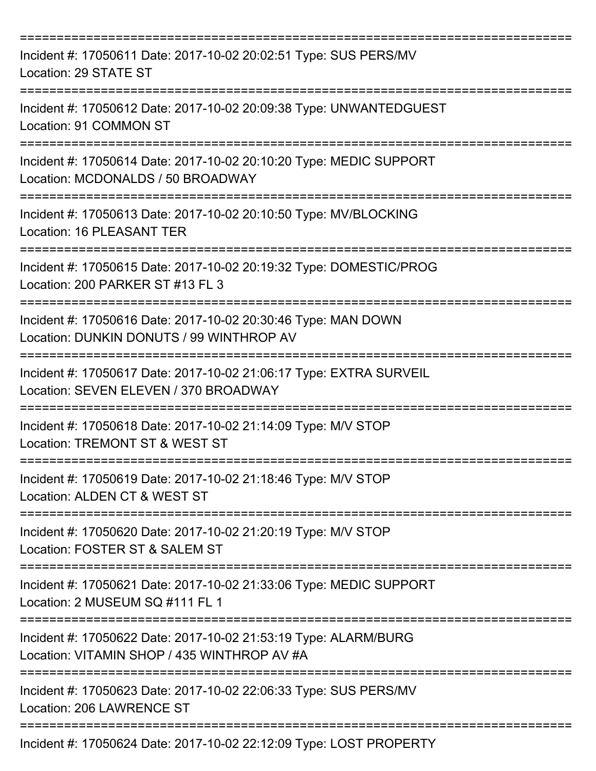| Incident #: 17050611 Date: 2017-10-02 20:02:51 Type: SUS PERS/MV<br>Location: 29 STATE ST                      |
|----------------------------------------------------------------------------------------------------------------|
| Incident #: 17050612 Date: 2017-10-02 20:09:38 Type: UNWANTEDGUEST<br>Location: 91 COMMON ST                   |
| Incident #: 17050614 Date: 2017-10-02 20:10:20 Type: MEDIC SUPPORT<br>Location: MCDONALDS / 50 BROADWAY        |
| Incident #: 17050613 Date: 2017-10-02 20:10:50 Type: MV/BLOCKING<br>Location: 16 PLEASANT TER                  |
| Incident #: 17050615 Date: 2017-10-02 20:19:32 Type: DOMESTIC/PROG<br>Location: 200 PARKER ST #13 FL 3         |
| Incident #: 17050616 Date: 2017-10-02 20:30:46 Type: MAN DOWN<br>Location: DUNKIN DONUTS / 99 WINTHROP AV      |
| Incident #: 17050617 Date: 2017-10-02 21:06:17 Type: EXTRA SURVEIL<br>Location: SEVEN ELEVEN / 370 BROADWAY    |
| Incident #: 17050618 Date: 2017-10-02 21:14:09 Type: M/V STOP<br>Location: TREMONT ST & WEST ST                |
| Incident #: 17050619 Date: 2017-10-02 21:18:46 Type: M/V STOP<br>Location: ALDEN CT & WEST ST                  |
| Incident #: 17050620 Date: 2017-10-02 21:20:19 Type: M/V STOP<br>Location: FOSTER ST & SALEM ST                |
| Incident #: 17050621 Date: 2017-10-02 21:33:06 Type: MEDIC SUPPORT<br>Location: 2 MUSEUM SQ #111 FL 1          |
| Incident #: 17050622 Date: 2017-10-02 21:53:19 Type: ALARM/BURG<br>Location: VITAMIN SHOP / 435 WINTHROP AV #A |
| Incident #: 17050623 Date: 2017-10-02 22:06:33 Type: SUS PERS/MV<br>Location: 206 LAWRENCE ST                  |
| Incident #: 17050624 Date: 2017-10-02 22:12:09 Type: LOST PROPERTY                                             |